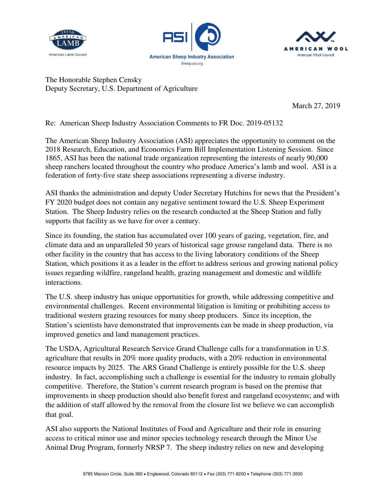





The Honorable Stephen Censky Deputy Secretary, U.S. Department of Agriculture

March 27, 2019

Re: American Sheep Industry Association Comments to FR Doc. 2019-05132

The American Sheep Industry Association (ASI) appreciates the opportunity to comment on the 2018 Research, Education, and Economics Farm Bill Implementation Listening Session. Since 1865, ASI has been the national trade organization representing the interests of nearly 90,000 sheep ranchers located throughout the country who produce America's lamb and wool. ASI is a federation of forty-five state sheep associations representing a diverse industry.

ASI thanks the administration and deputy Under Secretary Hutchins for news that the President's FY 2020 budget does not contain any negative sentiment toward the U.S. Sheep Experiment Station. The Sheep Industry relies on the research conducted at the Sheep Station and fully supports that facility as we have for over a century.

Since its founding, the station has accumulated over 100 years of gazing, vegetation, fire, and climate data and an unparalleled 50 years of historical sage grouse rangeland data. There is no other facility in the country that has access to the living laboratory conditions of the Sheep Station, which positions it as a leader in the effort to address serious and growing national policy issues regarding wildfire, rangeland health, grazing management and domestic and wildlife interactions.

The U.S. sheep industry has unique opportunities for growth, while addressing competitive and environmental challenges. Recent environmental litigation is limiting or prohibiting access to traditional western grazing resources for many sheep producers. Since its inception, the Station's scientists have demonstrated that improvements can be made in sheep production, via improved genetics and land management practices.

The USDA, Agricultural Research Service Grand Challenge calls for a transformation in U.S. agriculture that results in 20% more quality products, with a 20% reduction in environmental resource impacts by 2025. The ARS Grand Challenge is entirely possible for the U.S. sheep industry. In fact, accomplishing such a challenge is essential for the industry to remain globally competitive. Therefore, the Station's current research program is based on the premise that improvements in sheep production should also benefit forest and rangeland ecosystems; and with the addition of staff allowed by the removal from the closure list we believe we can accomplish that goal.

ASI also supports the National Institutes of Food and Agriculture and their role in ensuring access to critical minor use and minor species technology research through the Minor Use Animal Drug Program, formerly NRSP 7. The sheep industry relies on new and developing